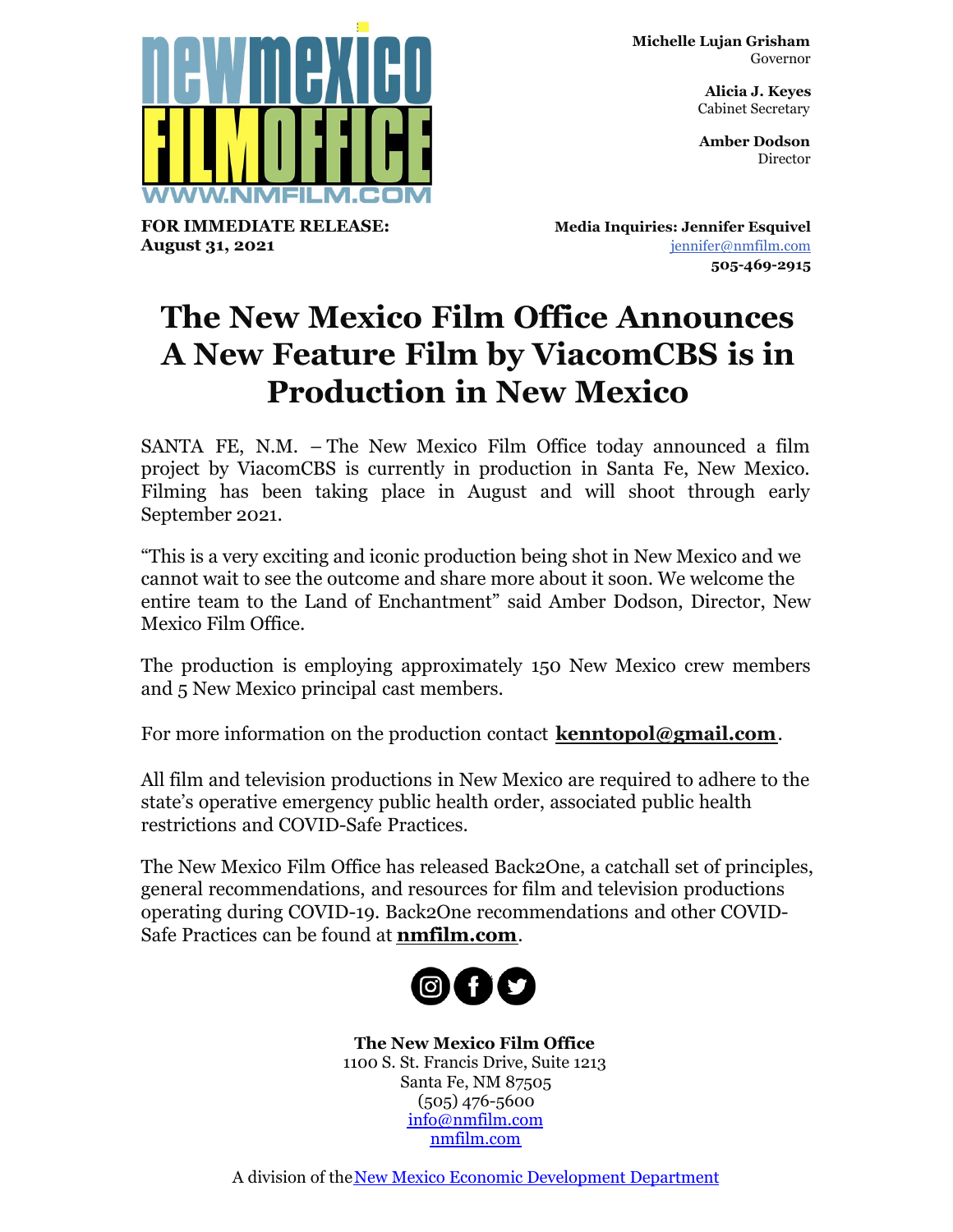**Michelle Lujan Grisham** Governor

> **Alicia J. Keyes** Cabinet Secretary

> **Amber Dodson Director**



**FOR IMMEDIATE RELEASE: August 31, 2021**

**Media Inquiries: Jennifer Esquivel** [jennifer@nmfilm.com](mailto:jennifer@nmfilm.com) **505-469-2915**

## **The New Mexico Film Office Announces A New Feature Film by ViacomCBS is in Production in New Mexico**

SANTA FE, N.M. – The New Mexico Film Office today announced a film project by ViacomCBS is currently in production in Santa Fe, New Mexico. Filming has been taking place in August and will shoot through early September 2021.

"This is a very exciting and iconic production being shot in New Mexico and we cannot wait to see the outcome and share more about it soon. We welcome the entire team to the Land of Enchantment" said Amber Dodson, Director, New Mexico Film Office.

The production is employing approximately 150 New Mexico crew members and 5 New Mexico principal cast members.

For more information on the production contact **[kenntopol@gmail.com](mailto:kenntopol@gmail.com)**.

All film and television productions in New Mexico are required to adhere to the state's operative emergency public health order, associated public health restrictions and COVID-Safe Practices.

The New Mexico Film Office has released Back2One, a catchall set of principles, general recommendations, and resources for film and television productions operating during COVID-19. Back2One recommendations and other COVID-Safe Practices can be found at **[nmfilm.com](http://nmfilm.com)**.



**The New Mexico Film Office** 1100 S. St. Francis Drive, Suite 1213 Santa Fe, NM 87505 (505) 476-5600 [info@nmfilm.com](mailto:info@nmfilm.com) [nmfilm.com](http://www.nmfilm.com/)

A division of the [New Mexico Economic Development Department](http://edd.newmexico.gov)